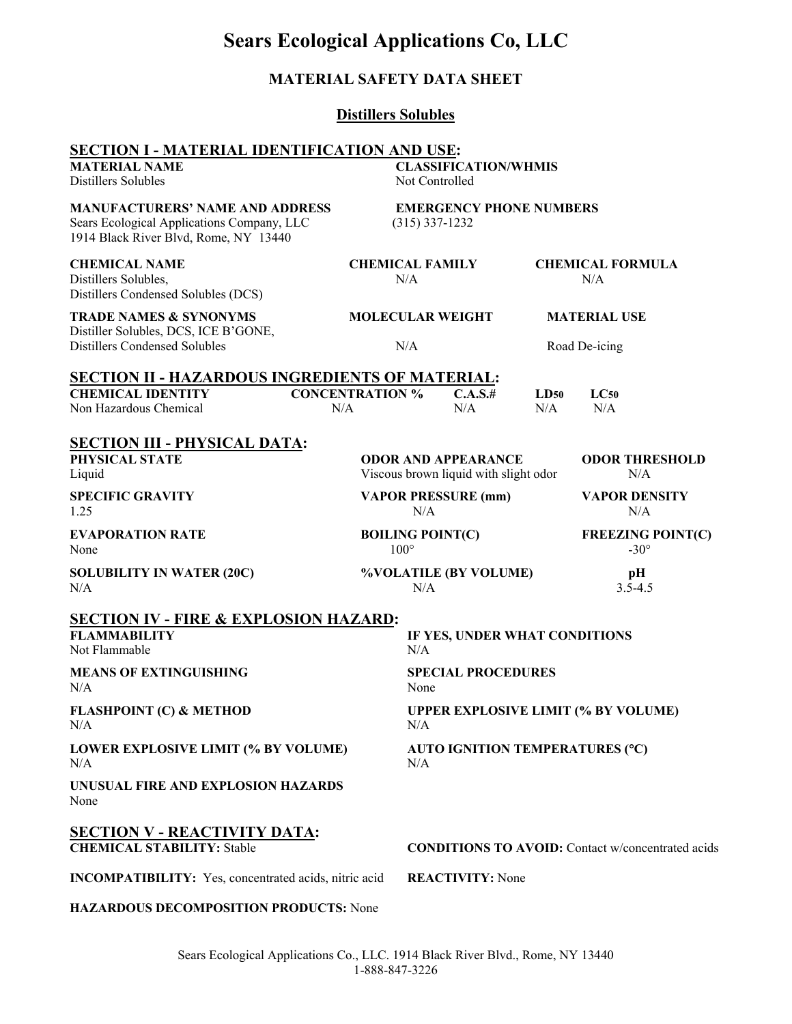| <b>MATERIAL SAFETY DATA SHEET</b>                                                                                                                          |                                        |                                                    |                                                                     |             |                                                          |  |
|------------------------------------------------------------------------------------------------------------------------------------------------------------|----------------------------------------|----------------------------------------------------|---------------------------------------------------------------------|-------------|----------------------------------------------------------|--|
| <b>Distillers Solubles</b>                                                                                                                                 |                                        |                                                    |                                                                     |             |                                                          |  |
| <b>SECTION I - MATERIAL IDENTIFICATION AND USE:</b><br><b>MATERIAL NAME</b><br><b>CLASSIFICATION/WHMIS</b><br><b>Distillers Solubles</b><br>Not Controlled |                                        |                                                    |                                                                     |             |                                                          |  |
| <b>MANUFACTURERS' NAME AND ADDRESS</b><br>Sears Ecological Applications Company, LLC<br>1914 Black River Blvd, Rome, NY 13440                              |                                        | <b>EMERGENCY PHONE NUMBERS</b><br>$(315)$ 337-1232 |                                                                     |             |                                                          |  |
| <b>CHEMICAL NAME</b><br>Distillers Solubles,<br>Distillers Condensed Solubles (DCS)                                                                        | <b>CHEMICAL FAMILY</b><br>N/A          |                                                    | <b>CHEMICAL FORMULA</b><br>N/A                                      |             |                                                          |  |
| <b>TRADE NAMES &amp; SYNONYMS</b><br>Distiller Solubles, DCS, ICE B'GONE,<br>Distillers Condensed Solubles                                                 | <b>MOLECULAR WEIGHT</b>                |                                                    | <b>MATERIAL USE</b>                                                 |             |                                                          |  |
|                                                                                                                                                            |                                        | N/A                                                |                                                                     |             | Road De-icing                                            |  |
| <b>SECTION II - HAZARDOUS INGREDIENTS OF MATERIAL:</b><br><b>CHEMICAL IDENTITY</b><br>Non Hazardous Chemical                                               | <b>CONCENTRATION %</b><br>N/A          |                                                    | C.A.S.#<br>N/A                                                      | LD50<br>N/A | LC50<br>N/A                                              |  |
| <b>SECTION III - PHYSICAL DATA:</b><br>PHYSICAL STATE<br>Liquid                                                                                            |                                        |                                                    | <b>ODOR AND APPEARANCE</b><br>Viscous brown liquid with slight odor |             | <b>ODOR THRESHOLD</b><br>N/A                             |  |
| <b>SPECIFIC GRAVITY</b><br>1.25                                                                                                                            | <b>VAPOR PRESSURE (mm)</b><br>N/A      |                                                    |                                                                     |             | <b>VAPOR DENSITY</b><br>N/A                              |  |
| <b>EVAPORATION RATE</b><br>None                                                                                                                            | <b>BOILING POINT(C)</b><br>$100^\circ$ |                                                    |                                                                     |             | <b>FREEZING POINT(C)</b><br>$-30^\circ$                  |  |
| <b>SOLUBILITY IN WATER (20C)</b><br>N/A                                                                                                                    |                                        | %VOLATILE (BY VOLUME)<br>N/A                       |                                                                     |             | pН<br>$3.5 - 4.5$                                        |  |
| <b>SECTION IV - FIRE &amp; EXPLOSION HAZARD:</b><br><b>FLAMMABILITY</b><br>Not Flammable                                                                   |                                        | N/A                                                | IF YES, UNDER WHAT CONDITIONS                                       |             |                                                          |  |
| <b>MEANS OF EXTINGUISHING</b><br>N/A                                                                                                                       |                                        |                                                    | <b>SPECIAL PROCEDURES</b><br>None                                   |             |                                                          |  |
| <b>FLASHPOINT (C) &amp; METHOD</b><br>N/A                                                                                                                  |                                        | <b>UPPER EXPLOSIVE LIMIT (% BY VOLUME)</b><br>N/A  |                                                                     |             |                                                          |  |
| LOWER EXPLOSIVE LIMIT (% BY VOLUME)<br>N/A                                                                                                                 |                                        | AUTO IGNITION TEMPERATURES (°C)<br>N/A             |                                                                     |             |                                                          |  |
| UNUSUAL FIRE AND EXPLOSION HAZARDS<br>None                                                                                                                 |                                        |                                                    |                                                                     |             |                                                          |  |
| <b>SECTION V - REACTIVITY DATA:</b><br><b>CHEMICAL STABILITY: Stable</b>                                                                                   |                                        |                                                    |                                                                     |             | <b>CONDITIONS TO AVOID:</b> Contact w/concentrated acids |  |
| <b>INCOMPATIBILITY:</b> Yes, concentrated acids, nitric acid                                                                                               |                                        |                                                    | <b>REACTIVITY: None</b>                                             |             |                                                          |  |
| <b>HAZARDOUS DECOMPOSITION PRODUCTS: None</b>                                                                                                              |                                        |                                                    |                                                                     |             |                                                          |  |

**Sears Ecological Applications Co, LLC**